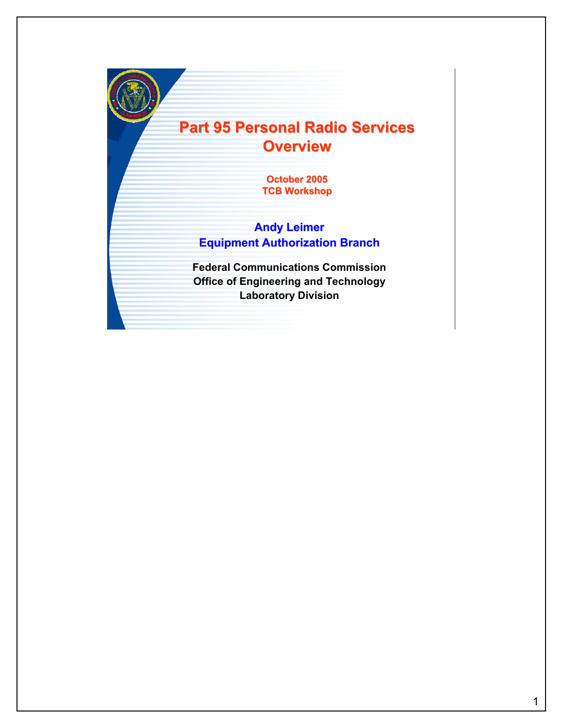## **Part 95 Personal Radio Services Part 95 Personal Radio Services Overview**

**October 2005 TCB Workshop**

## **Andy Leimer Equipment Authorization Branch**

**Federal Communications Commission Office of Engineering and Technology Laboratory Division**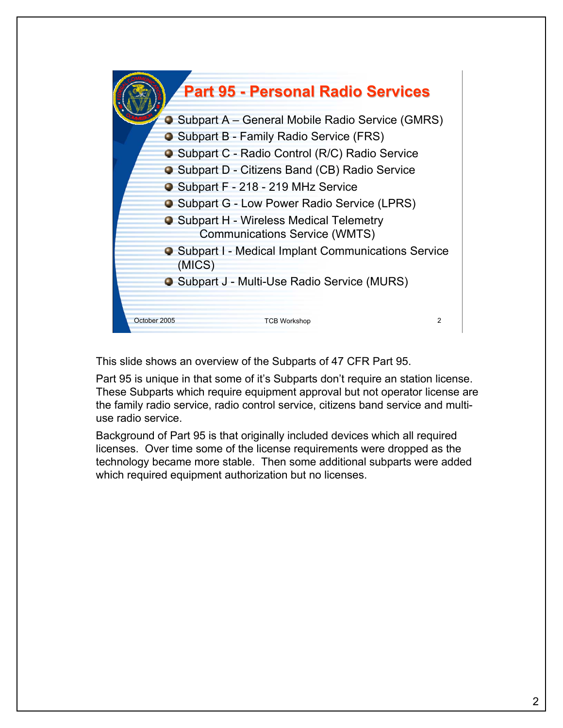

This slide shows an overview of the Subparts of 47 CFR Part 95.

Part 95 is unique in that some of it's Subparts don't require an station license. These Subparts which require equipment approval but not operator license are the family radio service, radio control service, citizens band service and multiuse radio service.

Background of Part 95 is that originally included devices which all required licenses. Over time some of the license requirements were dropped as the technology became more stable. Then some additional subparts were added which required equipment authorization but no licenses.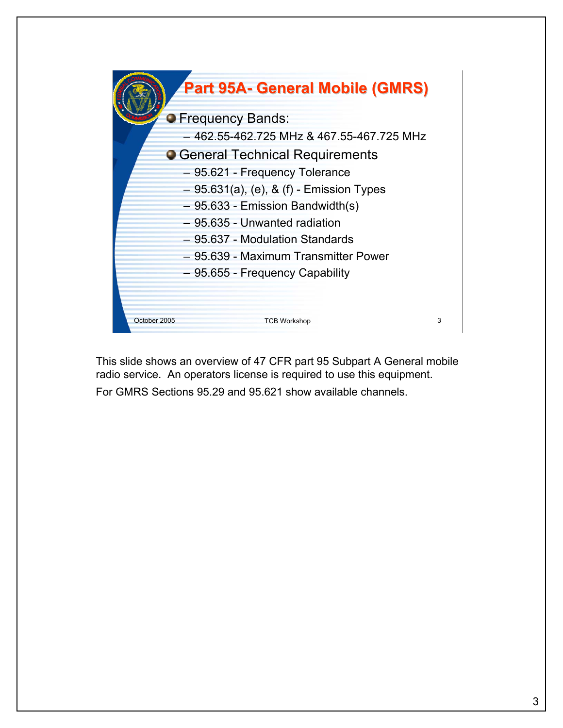

This slide shows an overview of 47 CFR part 95 Subpart A General mobile radio service. An operators license is required to use this equipment. For GMRS Sections 95.29 and 95.621 show available channels.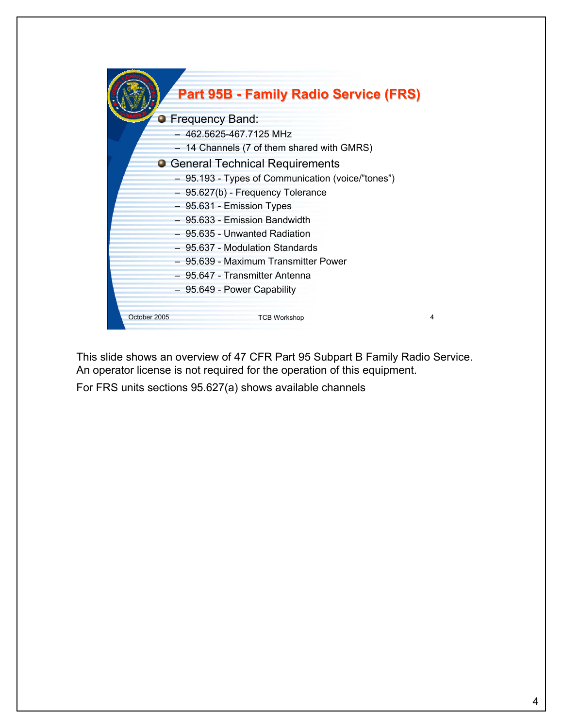|              | <b>Part 95B - Family Radio Service (FRS)</b>      |   |
|--------------|---------------------------------------------------|---|
|              | <b>•</b> Frequency Band:                          |   |
|              | 462.5625-467.7125 MHz                             |   |
|              | 14 Channels (7 of them shared with GMRS)          |   |
|              | <b>O</b> General Technical Requirements           |   |
|              | - 95.193 - Types of Communication (voice/"tones") |   |
|              | - 95.627(b) - Frequency Tolerance                 |   |
|              | - 95.631 - Emission Types                         |   |
|              | - 95.633 - Emission Bandwidth                     |   |
|              | - 95.635 - Unwanted Radiation                     |   |
|              | - 95.637 - Modulation Standards                   |   |
|              | - 95.639 - Maximum Transmitter Power              |   |
|              | - 95.647 - Transmitter Antenna                    |   |
|              | - 95.649 - Power Capability                       |   |
|              |                                                   |   |
| October 2005 | <b>TCB Workshop</b>                               | 4 |

This slide shows an overview of 47 CFR Part 95 Subpart B Family Radio Service. An operator license is not required for the operation of this equipment.

For FRS units sections 95.627(a) shows available channels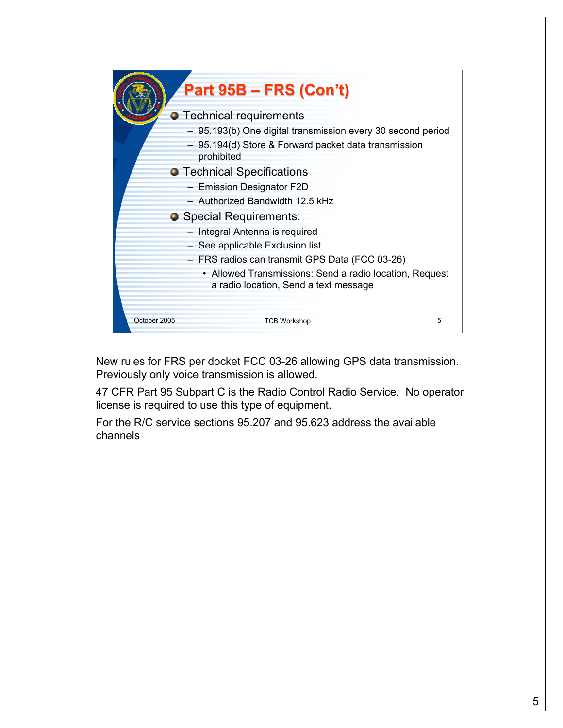

New rules for FRS per docket FCC 03-26 allowing GPS data transmission. Previously only voice transmission is allowed.

47 CFR Part 95 Subpart C is the Radio Control Radio Service. No operator license is required to use this type of equipment.

For the R/C service sections 95.207 and 95.623 address the available channels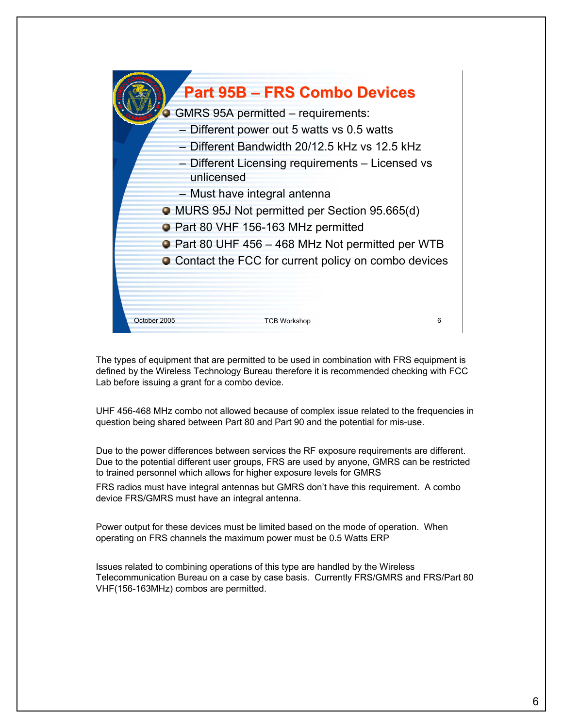

The types of equipment that are permitted to be used in combination with FRS equipment is defined by the Wireless Technology Bureau therefore it is recommended checking with FCC Lab before issuing a grant for a combo device.

UHF 456-468 MHz combo not allowed because of complex issue related to the frequencies in question being shared between Part 80 and Part 90 and the potential for mis-use.

Due to the power differences between services the RF exposure requirements are different. Due to the potential different user groups, FRS are used by anyone, GMRS can be restricted to trained personnel which allows for higher exposure levels for GMRS

FRS radios must have integral antennas but GMRS don't have this requirement. A combo device FRS/GMRS must have an integral antenna.

Power output for these devices must be limited based on the mode of operation. When operating on FRS channels the maximum power must be 0.5 Watts ERP

Issues related to combining operations of this type are handled by the Wireless Telecommunication Bureau on a case by case basis. Currently FRS/GMRS and FRS/Part 80 VHF(156-163MHz) combos are permitted.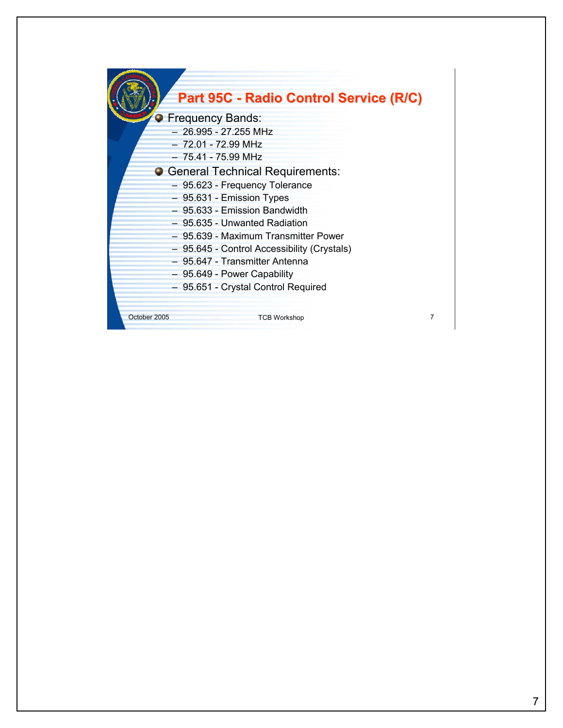|              | Part 95C - Radio Control Service (R/C)                                                                                                                                                                                                                                                                                                                                                                                                                                |   |
|--------------|-----------------------------------------------------------------------------------------------------------------------------------------------------------------------------------------------------------------------------------------------------------------------------------------------------------------------------------------------------------------------------------------------------------------------------------------------------------------------|---|
|              | <b>Frequency Bands:</b><br>$-26.995 - 27.255$ MHz<br>$-72.01 - 72.99$ MHz<br>$-75.41 - 75.99$ MHz<br>• General Technical Requirements:<br>- 95.623 - Frequency Tolerance<br>- 95.631 - Emission Types<br>$-95.633$ - Emission Bandwidth<br>- 95.635 - Unwanted Radiation<br>- 95.639 - Maximum Transmitter Power<br>- 95.645 - Control Accessibility (Crystals)<br>- 95.647 - Transmitter Antenna<br>- 95.649 - Power Capability<br>95.651 - Crystal Control Required |   |
| October 2005 | <b>TCB Workshop</b>                                                                                                                                                                                                                                                                                                                                                                                                                                                   | 7 |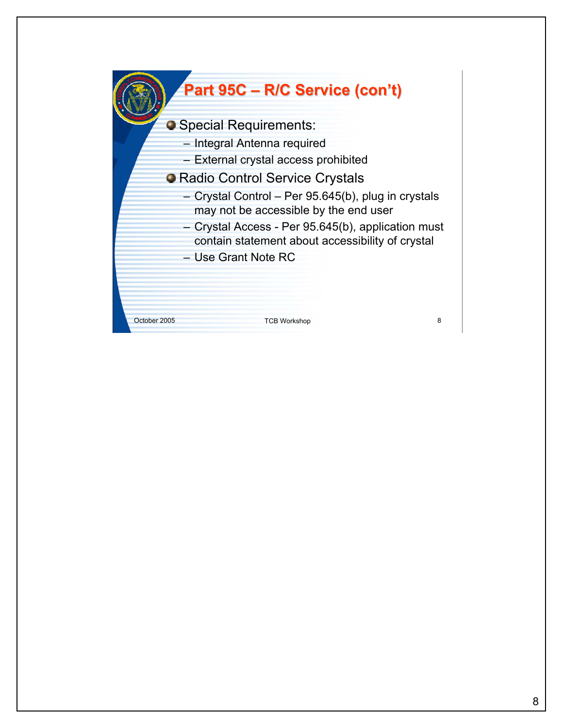## **Part 95C – R/C Service (con't)**

**O** Special Requirements:

- Integral Antenna required
- External crystal access prohibited
- **O Radio Control Service Crystals** 
	- Crystal Control Per 95.645(b), plug in crystals may not be accessible by the end user
	- Crystal Access Per 95.645(b), application must contain statement about accessibility of crystal
	- Use Grant Note RC

October 2005 TCB Workshop 8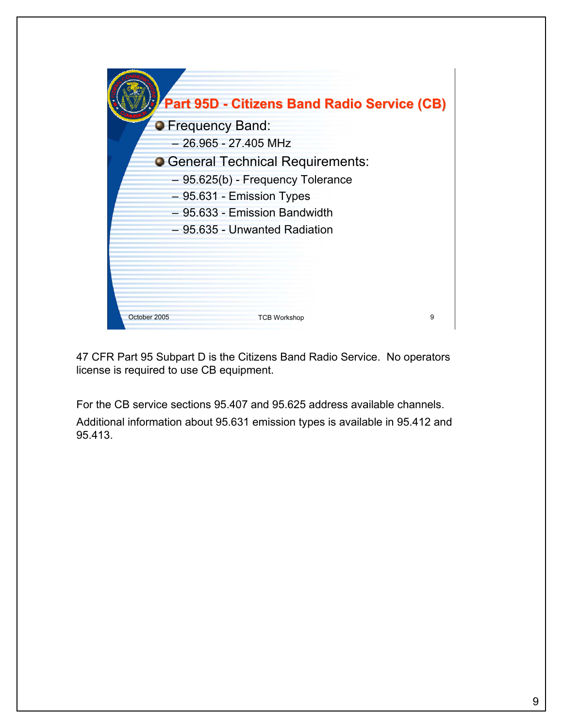| Part 95D - Citizens Band Radio Service (CB) |   |
|---------------------------------------------|---|
| <b>O</b> Frequency Band:                    |   |
| $-26.965 - 27.405$ MHz                      |   |
| • General Technical Requirements:           |   |
| - 95.625(b) - Frequency Tolerance           |   |
| - 95.631 - Emission Types                   |   |
| - 95.633 - Emission Bandwidth               |   |
| - 95.635 - Unwanted Radiation               |   |
|                                             |   |
|                                             |   |
|                                             |   |
|                                             |   |
| October 2005<br><b>TCB Workshop</b>         | 9 |

47 CFR Part 95 Subpart D is the Citizens Band Radio Service. No operators license is required to use CB equipment.

For the CB service sections 95.407 and 95.625 address available channels. Additional information about 95.631 emission types is available in 95.412 and 95.413.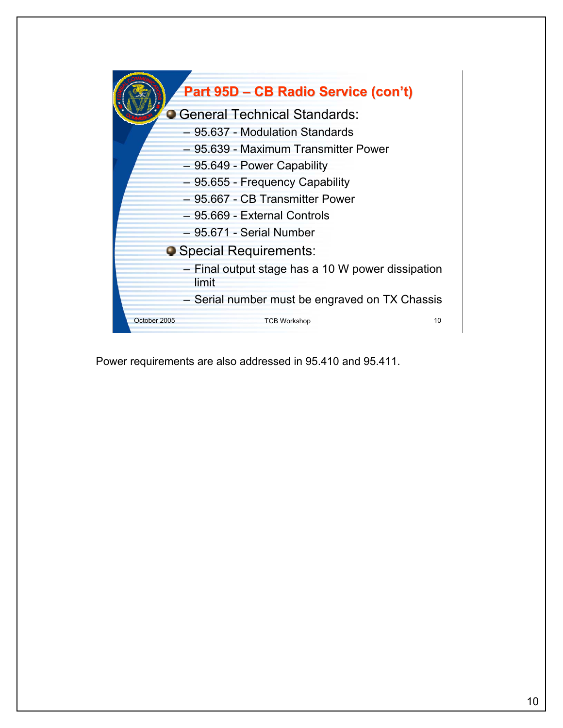

Power requirements are also addressed in 95.410 and 95.411.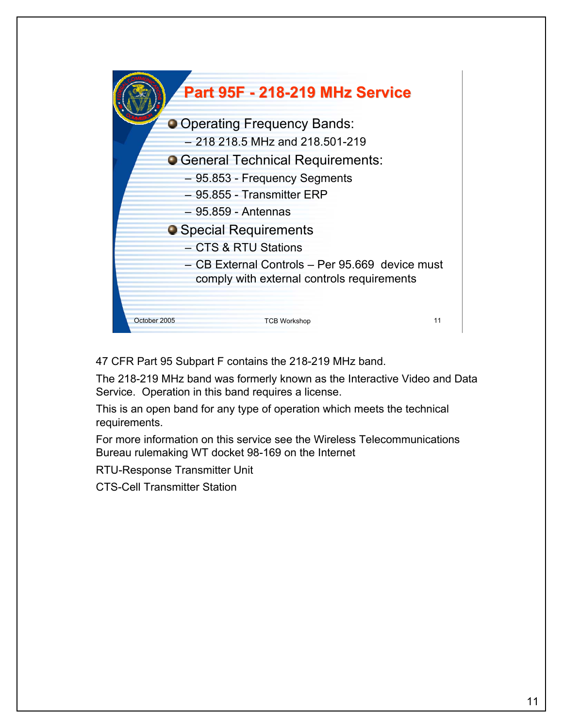

47 CFR Part 95 Subpart F contains the 218-219 MHz band.

The 218-219 MHz band was formerly known as the Interactive Video and Data Service. Operation in this band requires a license.

This is an open band for any type of operation which meets the technical requirements.

For more information on this service see the Wireless Telecommunications Bureau rulemaking WT docket 98-169 on the Internet

RTU-Response Transmitter Unit

CTS-Cell Transmitter Station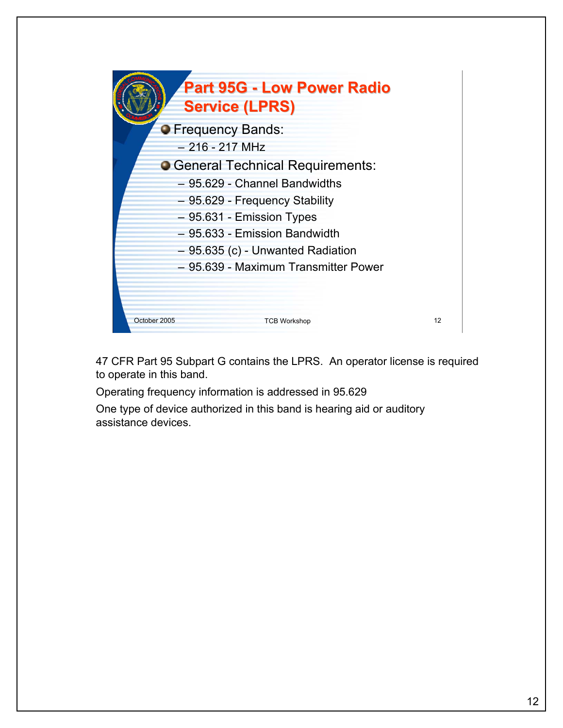

47 CFR Part 95 Subpart G contains the LPRS. An operator license is required to operate in this band.

Operating frequency information is addressed in 95.629

One type of device authorized in this band is hearing aid or auditory assistance devices.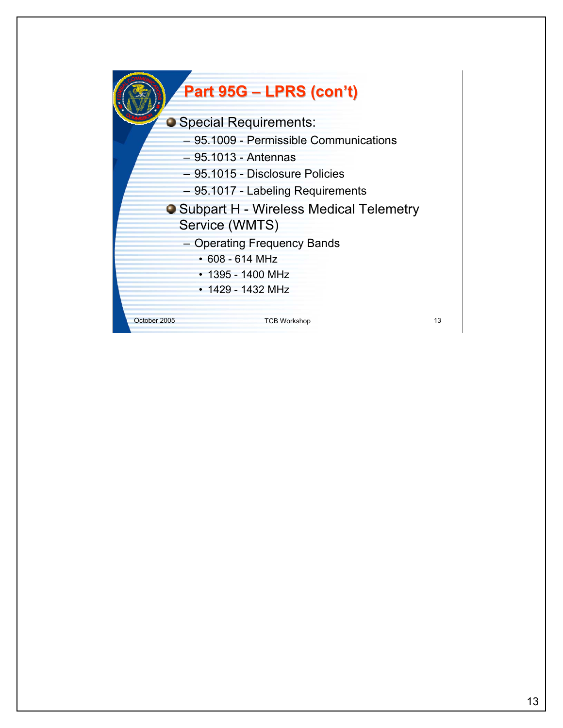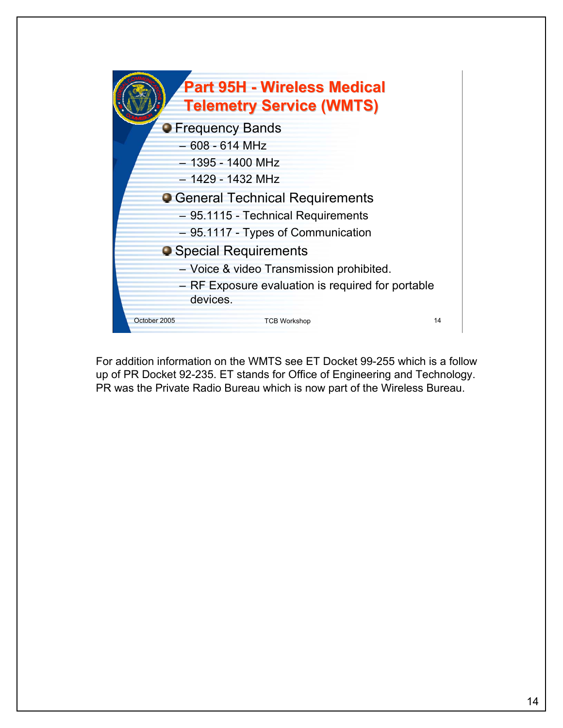

For addition information on the WMTS see ET Docket 99-255 which is a follow up of PR Docket 92-235. ET stands for Office of Engineering and Technology. PR was the Private Radio Bureau which is now part of the Wireless Bureau.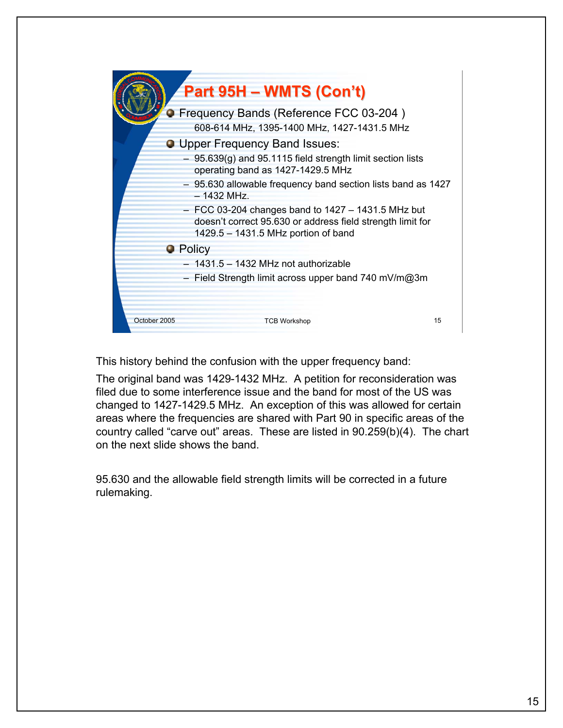

This history behind the confusion with the upper frequency band:

The original band was 1429-1432 MHz. A petition for reconsideration was filed due to some interference issue and the band for most of the US was changed to 1427-1429.5 MHz. An exception of this was allowed for certain areas where the frequencies are shared with Part 90 in specific areas of the country called "carve out" areas. These are listed in 90.259(b)(4). The chart on the next slide shows the band.

95.630 and the allowable field strength limits will be corrected in a future rulemaking.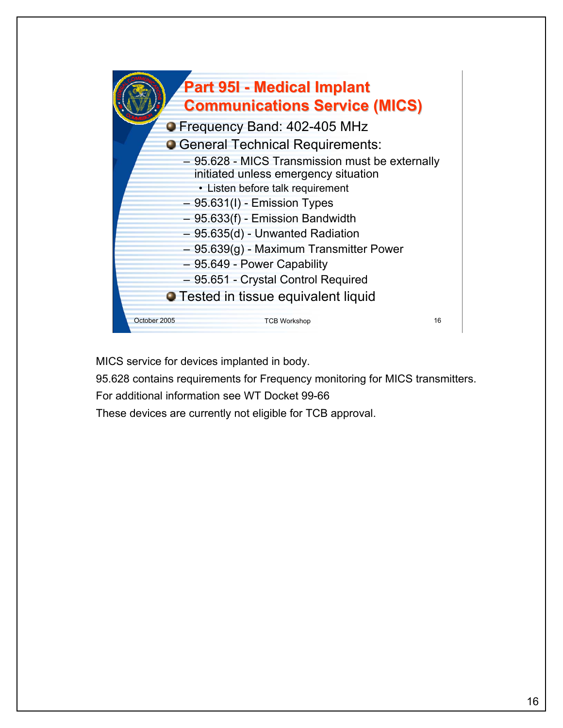

MICS service for devices implanted in body.

95.628 contains requirements for Frequency monitoring for MICS transmitters.

For additional information see WT Docket 99-66

These devices are currently not eligible for TCB approval.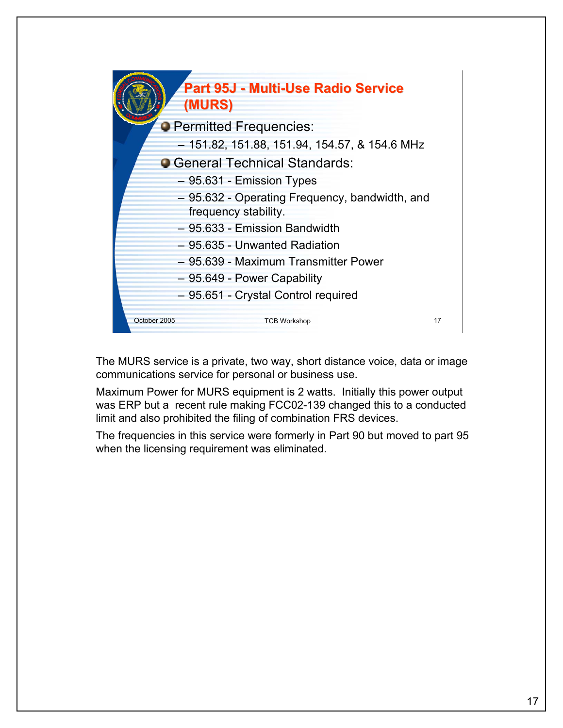|              | Part 95J - Multi-Use Radio Service<br>(MURS)                           |    |
|--------------|------------------------------------------------------------------------|----|
|              | <b>O</b> Permitted Frequencies:                                        |    |
|              | - 151.82, 151.88, 151.94, 154.57, & 154.6 MHz                          |    |
|              | • General Technical Standards:                                         |    |
|              | $-95.631$ - Emission Types                                             |    |
|              | - 95.632 - Operating Frequency, bandwidth, and<br>frequency stability. |    |
|              | - 95.633 - Emission Bandwidth                                          |    |
|              | - 95.635 - Unwanted Radiation                                          |    |
|              | - 95.639 - Maximum Transmitter Power                                   |    |
|              | - 95.649 - Power Capability                                            |    |
|              | - 95.651 - Crystal Control required                                    |    |
| October 2005 | <b>TCB Workshop</b>                                                    | 17 |

The MURS service is a private, two way, short distance voice, data or image communications service for personal or business use.

Maximum Power for MURS equipment is 2 watts. Initially this power output was ERP but a recent rule making FCC02-139 changed this to a conducted limit and also prohibited the filing of combination FRS devices.

The frequencies in this service were formerly in Part 90 but moved to part 95 when the licensing requirement was eliminated.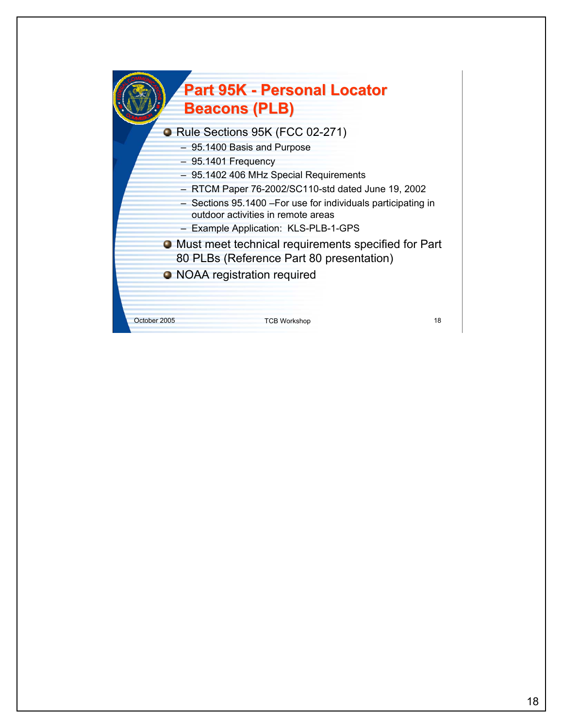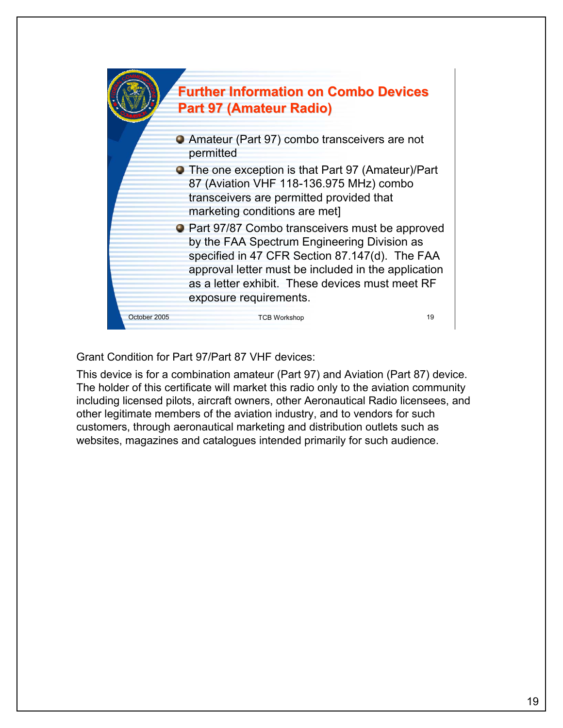

Grant Condition for Part 97/Part 87 VHF devices:

This device is for a combination amateur (Part 97) and Aviation (Part 87) device. The holder of this certificate will market this radio only to the aviation community including licensed pilots, aircraft owners, other Aeronautical Radio licensees, and other legitimate members of the aviation industry, and to vendors for such customers, through aeronautical marketing and distribution outlets such as websites, magazines and catalogues intended primarily for such audience.